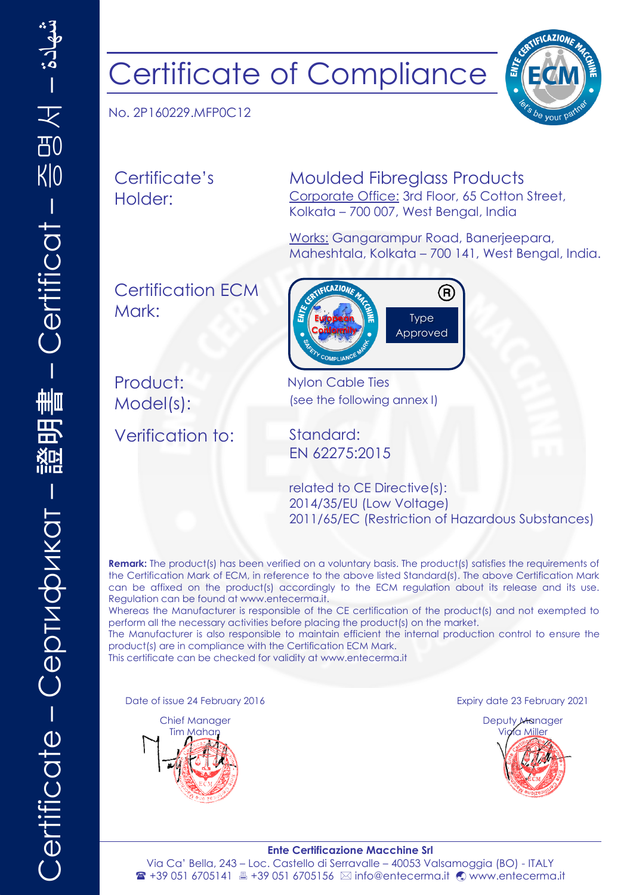## Certificate of Compliance

No. 2P160229.MFP0C12

Certificate's Holder:

Moulded Fibreglass Products Corporate Office: 3rd Floor, 65 Cotton Street, Kolkata – 700 007, West Bengal, India

> Type Approved

Works: Gangarampur Road, Banerjeepara, Maheshtala, Kolkata – 700 141, West Bengal, India.

R)

ENTE

Certification ECM Mark:

Product: Nylon Cable Ties

Model(s): (see the following annex I)

Verification to: Standard:

EN 62275:2015

**European Conformity**

**CAZION** 

related to CE Directive(s): 2014/35/EU (Low Voltage) 2011/65/EC (Restriction of Hazardous Substances)

**Remark:** The product(s) has been verified on a voluntary basis. The product(s) satisfies the requirements of the Certification Mark of ECM, in reference to the above listed Standard(s). The above Certification Mark can be affixed on the product(s) accordingly to the ECM regulation about its release and its use. Regulation can be found at www.entecerma.it.

Whereas the Manufacturer is responsible of the CE certification of the product(s) and not exempted to perform all the necessary activities before placing the product(s) on the market.

The Manufacturer is also responsible to maintain efficient the internal production control to ensure the product(s) are in compliance with the Certification ECM Mark.

This certificate can be checked for validity a[t www.entecerma.it](http://www.entecerma.it/)

Date of issue 24 February 2016



Expiry date 23 February 2021



## **Ente Certificazione Macchine Srl** Via Ca' Bella, 243 – Loc. Castello di Serravalle – 40053 Valsamoggia (BO) - ITALY <sup>2</sup> +39 051 6705141 ■ +39 051 6705156 ⊠ info@entecerma.it © www.entecerma.it